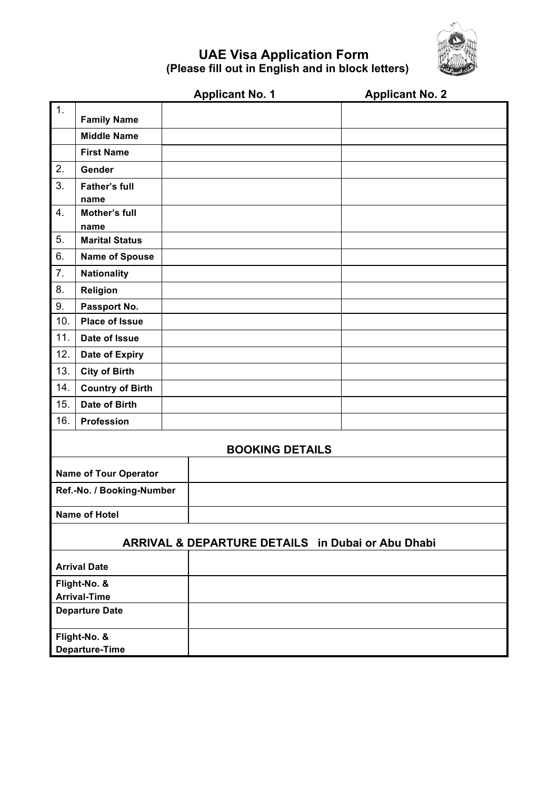

## **UAE Visa Application Form (Please fill out in English and in block letters)**

|                                                   |                              | <b>Applicant No. 1</b> | <b>Applicant No. 2</b> |
|---------------------------------------------------|------------------------------|------------------------|------------------------|
| $\mathbf 1$ .                                     | <b>Family Name</b>           |                        |                        |
|                                                   | <b>Middle Name</b>           |                        |                        |
|                                                   | <b>First Name</b>            |                        |                        |
| 2.                                                | Gender                       |                        |                        |
| 3.                                                | <b>Father's full</b>         |                        |                        |
|                                                   | name                         |                        |                        |
| 4.                                                | <b>Mother's full</b>         |                        |                        |
|                                                   | name                         |                        |                        |
| 5.                                                | <b>Marital Status</b>        |                        |                        |
| 6.                                                | <b>Name of Spouse</b>        |                        |                        |
| 7.                                                | <b>Nationality</b>           |                        |                        |
| 8.                                                | Religion                     |                        |                        |
| 9.                                                | Passport No.                 |                        |                        |
| 10.                                               | <b>Place of Issue</b>        |                        |                        |
| 11.                                               | Date of Issue                |                        |                        |
| 12.                                               | <b>Date of Expiry</b>        |                        |                        |
| 13.                                               | <b>City of Birth</b>         |                        |                        |
| 14.                                               | <b>Country of Birth</b>      |                        |                        |
| 15.                                               | Date of Birth                |                        |                        |
| 16.                                               | Profession                   |                        |                        |
| <b>BOOKING DETAILS</b>                            |                              |                        |                        |
|                                                   |                              |                        |                        |
|                                                   | <b>Name of Tour Operator</b> |                        |                        |
| Ref.-No. / Booking-Number                         |                              |                        |                        |
| <b>Name of Hotel</b>                              |                              |                        |                        |
|                                                   |                              |                        |                        |
| ARRIVAL & DEPARTURE DETAILS in Dubai or Abu Dhabi |                              |                        |                        |
|                                                   | <b>Arrival Date</b>          |                        |                        |
| Flight-No. &                                      |                              |                        |                        |
| <b>Arrival-Time</b>                               |                              |                        |                        |
| <b>Departure Date</b>                             |                              |                        |                        |
| Flight-No. &                                      |                              |                        |                        |
|                                                   | Departure-Time               |                        |                        |